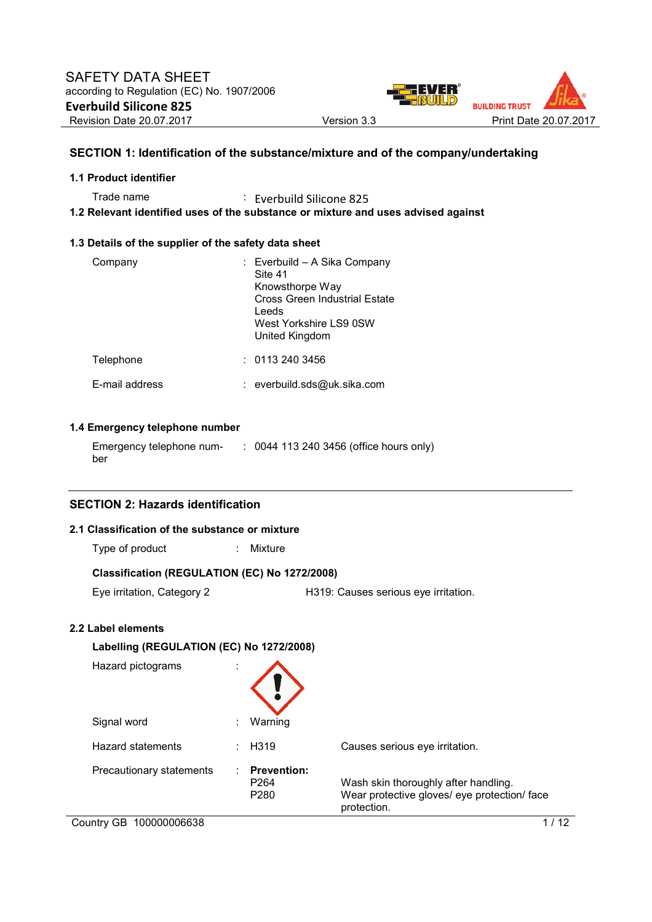

# **SECTION 1: Identification of the substance/mixture and of the company/undertaking**

#### **1.1 Product identifier**

Trade name : Everbuild Silicone 825

**1.2 Relevant identified uses of the substance or mixture and uses advised against** 

### **1.3 Details of the supplier of the safety data sheet**

| Company        | : Everbuild - A Sika Company<br>Site 41<br>Knowsthorpe Way<br>Cross Green Industrial Estate<br>Leeds<br>West Yorkshire LS9 0SW<br>United Kingdom |
|----------------|--------------------------------------------------------------------------------------------------------------------------------------------------|
| Telephone      | : 01132403456                                                                                                                                    |
| F-mail address | : everbuild.sds@uk.sika.com                                                                                                                      |

# **1.4 Emergency telephone number**

| Emergency telephone num- | : 0044 113 240 3456 (office hours only) |
|--------------------------|-----------------------------------------|
| ber                      |                                         |

# **SECTION 2: Hazards identification**

### **2.1 Classification of the substance or mixture**

| Type of product |  | Mixture |
|-----------------|--|---------|
|-----------------|--|---------|

## **Classification (REGULATION (EC) No 1272/2008)**

Eye irritation, Category 2 H319: Causes serious eye irritation.

## **2.2 Label elements**

| Labelling (REGULATION (EC) No 1272/2008) |                                                                 |                                                                                                     |
|------------------------------------------|-----------------------------------------------------------------|-----------------------------------------------------------------------------------------------------|
| Hazard pictograms                        |                                                                 |                                                                                                     |
| Signal word                              | Warning<br>٠                                                    |                                                                                                     |
| <b>Hazard statements</b>                 | H <sub>319</sub><br>٠.                                          | Causes serious eye irritation.                                                                      |
| Precautionary statements                 | <b>Prevention:</b><br>٠<br>P <sub>264</sub><br>P <sub>280</sub> | Wash skin thoroughly after handling.<br>Wear protective gloves/ eye protection/ face<br>protection. |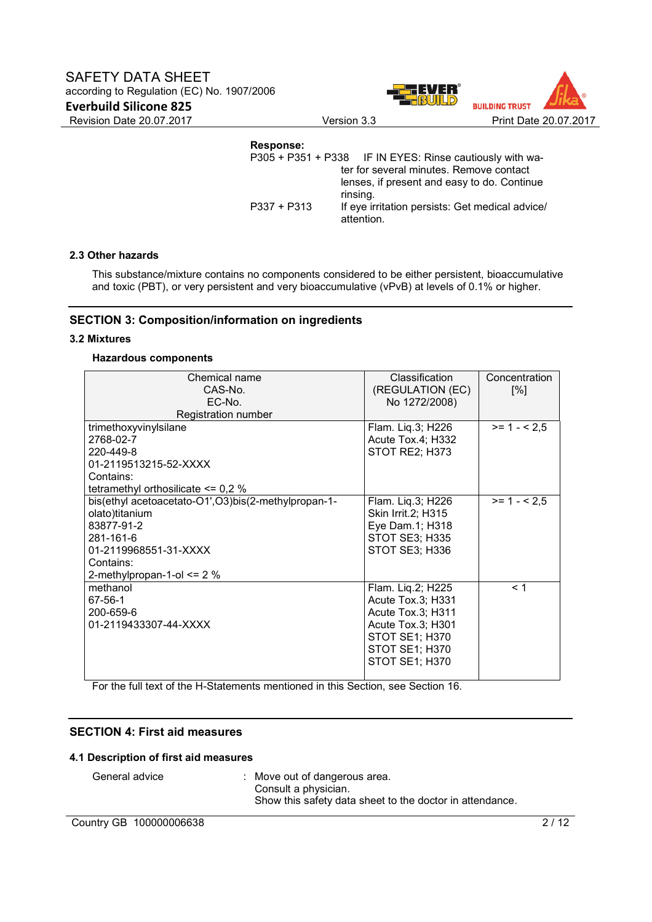



**Response:**  IF IN EYES: Rinse cautiously with water for several minutes. Remove contact lenses, if present and easy to do. Continue rinsing. P337 + P313 If eye irritation persists: Get medical advice/ attention.

#### **2.3 Other hazards**

This substance/mixture contains no components considered to be either persistent, bioaccumulative and toxic (PBT), or very persistent and very bioaccumulative (vPvB) at levels of 0.1% or higher.

# **SECTION 3: Composition/information on ingredients**

#### **3.2 Mixtures**

#### **Hazardous components**

| Chemical name                                       | Classification        | Concentration |
|-----------------------------------------------------|-----------------------|---------------|
| CAS-No.                                             | (REGULATION (EC)      | [%]           |
| EC-No.                                              | No 1272/2008)         |               |
| Registration number                                 |                       |               |
| trimethoxyvinylsilane                               | Flam. Lig.3; H226     | $>= 1 - 2.5$  |
| 2768-02-7                                           | Acute Tox.4; H332     |               |
| 220-449-8                                           | STOT RE2; H373        |               |
| 01-2119513215-52-XXXX                               |                       |               |
| Contains:                                           |                       |               |
| tetramethyl orthosilicate $\leq 0.2$ %              |                       |               |
| bis(ethyl acetoacetato-O1',O3)bis(2-methylpropan-1- | Flam. Lig.3; H226     | $>= 1 - 2.5$  |
| olato)titanium                                      | Skin Irrit.2; H315    |               |
| 83877-91-2                                          | Eye Dam.1; H318       |               |
| 281-161-6                                           | <b>STOT SE3; H335</b> |               |
| 01-2119968551-31-XXXX                               | STOT SE3; H336        |               |
| Contains:                                           |                       |               |
| 2-methylpropan-1-ol $\leq$ 2 %                      |                       |               |
| methanol                                            | Flam. Lig.2; H225     | < 1           |
| 67-56-1                                             | Acute Tox.3; H331     |               |
| 200-659-6                                           | Acute Tox.3; H311     |               |
| 01-2119433307-44-XXXX                               | Acute Tox.3; H301     |               |
|                                                     | <b>STOT SE1; H370</b> |               |
|                                                     | STOT SE1; H370        |               |
|                                                     | STOT SE1; H370        |               |
|                                                     |                       |               |

For the full text of the H-Statements mentioned in this Section, see Section 16.

## **SECTION 4: First aid measures**

#### **4.1 Description of first aid measures**

| General advice | Move ou |
|----------------|---------|
|                | Consult |

It of dangerous area. a physician. Show this safety data sheet to the doctor in attendance.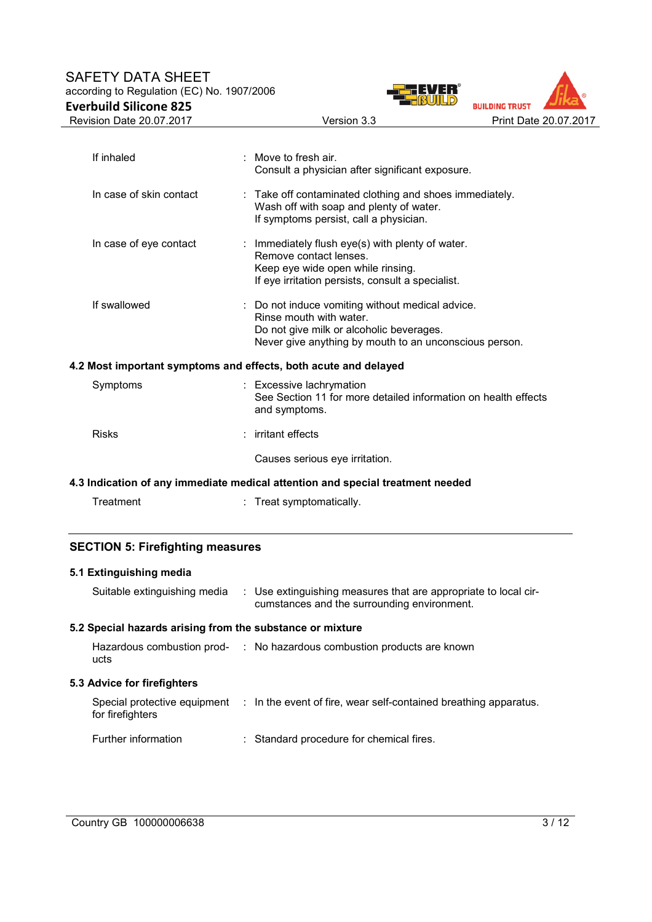# SAFETY DATA SHEET according to Regulation (EC) No. 1907/2006 **Everbuild Silicone 825**





| If inhaled              | $\therefore$ Move to fresh air.<br>Consult a physician after significant exposure.                                                                                                |
|-------------------------|-----------------------------------------------------------------------------------------------------------------------------------------------------------------------------------|
| In case of skin contact | : Take off contaminated clothing and shoes immediately.<br>Wash off with soap and plenty of water.<br>If symptoms persist, call a physician.                                      |
| In case of eye contact  | : Immediately flush eye(s) with plenty of water.<br>Remove contact lenses.<br>Keep eye wide open while rinsing.<br>If eye irritation persists, consult a specialist.              |
| If swallowed            | : Do not induce vomiting without medical advice.<br>Rinse mouth with water.<br>Do not give milk or alcoholic beverages.<br>Never give anything by mouth to an unconscious person. |
|                         | 4.2 Most important symptoms and effects, both acute and delayed                                                                                                                   |
| Symptoms                | : Excessive lachrymation<br>See Section 11 for more detailed information on health effects<br>and symptoms.                                                                       |
| <b>Risks</b>            | : irritant effects                                                                                                                                                                |
|                         | Causes serious eye irritation.                                                                                                                                                    |
|                         | 4.3 Indication of any immediate medical attention and special treatment needed                                                                                                    |
| Treatment               | : Treat symptomatically.                                                                                                                                                          |

# **SECTION 5: Firefighting measures**

# **5.1 Extinguishing media**

| Suitable extinguishing media                              | : Use extinguishing measures that are appropriate to local cir-<br>cumstances and the surrounding environment. |
|-----------------------------------------------------------|----------------------------------------------------------------------------------------------------------------|
| 5.2 Special hazards arising from the substance or mixture |                                                                                                                |
| ucts                                                      | Hazardous combustion prod- : No hazardous combustion products are known                                        |
| 5.3 Advice for firefighters                               |                                                                                                                |
| for firefighters                                          | Special protective equipment : In the event of fire, wear self-contained breathing apparatus.                  |
| Further information                                       | : Standard procedure for chemical fires.                                                                       |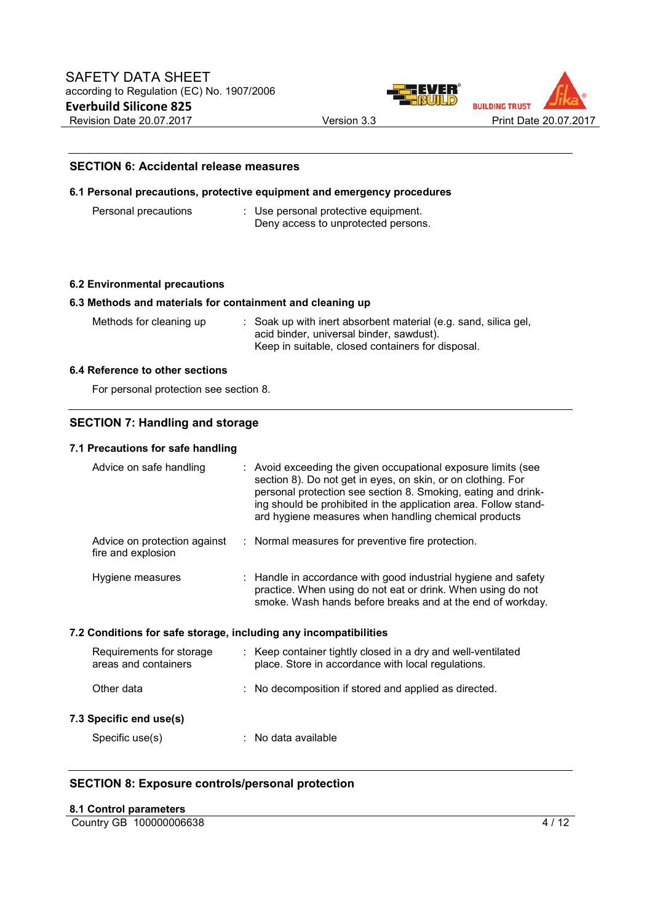



#### **SECTION 6: Accidental release measures**

#### **6.1 Personal precautions, protective equipment and emergency procedures**

| Personal precautions | : Use personal protective equipment. |
|----------------------|--------------------------------------|
|                      | Deny access to unprotected persons.  |

#### **6.2 Environmental precautions**

#### **6.3 Methods and materials for containment and cleaning up**

Methods for cleaning up : Soak up with inert absorbent material (e.g. sand, silica gel, acid binder, universal binder, sawdust). Keep in suitable, closed containers for disposal.

#### **6.4 Reference to other sections**

For personal protection see section 8.

### **SECTION 7: Handling and storage**

#### **7.1 Precautions for safe handling**

| Advice on safe handling                                          | : Avoid exceeding the given occupational exposure limits (see<br>section 8). Do not get in eyes, on skin, or on clothing. For<br>personal protection see section 8. Smoking, eating and drink-<br>ing should be prohibited in the application area. Follow stand-<br>ard hygiene measures when handling chemical products |
|------------------------------------------------------------------|---------------------------------------------------------------------------------------------------------------------------------------------------------------------------------------------------------------------------------------------------------------------------------------------------------------------------|
| Advice on protection against<br>fire and explosion               | : Normal measures for preventive fire protection.                                                                                                                                                                                                                                                                         |
| Hygiene measures                                                 | $\therefore$ Handle in accordance with good industrial hygiene and safety<br>practice. When using do not eat or drink. When using do not<br>smoke. Wash hands before breaks and at the end of workday.                                                                                                                    |
| 7.2 Conditions for safe storage, including any incompatibilities |                                                                                                                                                                                                                                                                                                                           |
| Requirements for storage<br>areas and containers                 | : Keep container tightly closed in a dry and well-ventilated<br>place. Store in accordance with local regulations.                                                                                                                                                                                                        |
| Other data                                                       | : No decomposition if stored and applied as directed.                                                                                                                                                                                                                                                                     |
| 7.3 Specific end use(s)                                          |                                                                                                                                                                                                                                                                                                                           |
| Specific use(s)                                                  | : No data available                                                                                                                                                                                                                                                                                                       |

### **SECTION 8: Exposure controls/personal protection**

#### **8.1 Control parameters**

Country GB 100000006638 4/12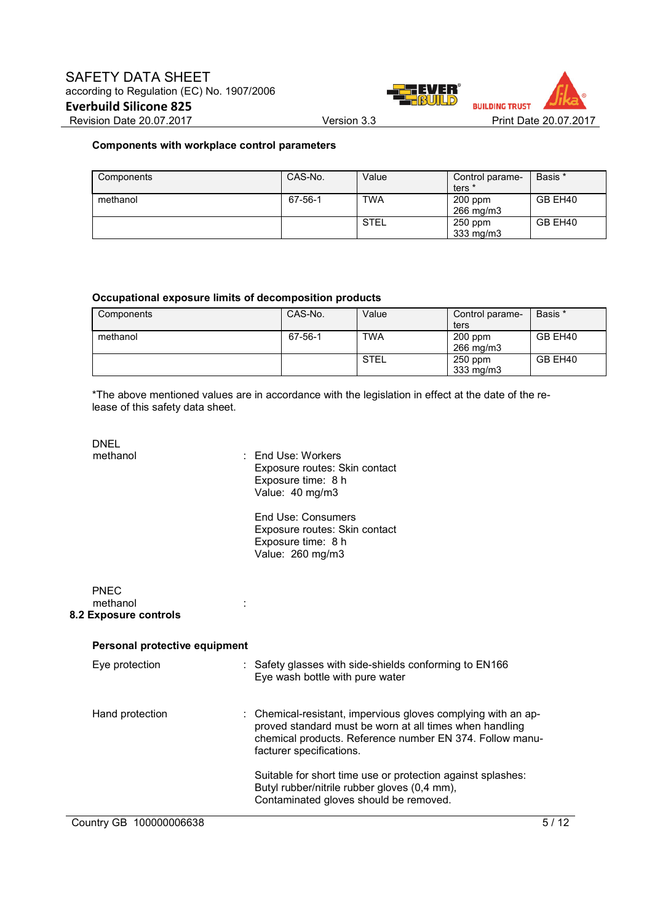



## **Components with workplace control parameters**

| Components | CAS-No. | Value       | Control parame-<br>ters * | Basis * |
|------------|---------|-------------|---------------------------|---------|
| methanol   | 67-56-1 | <b>TWA</b>  | 200 ppm<br>266 mg/m3      | GB EH40 |
|            |         | <b>STEL</b> | $250$ ppm<br>333 mg/m3    | GB EH40 |

#### **Occupational exposure limits of decomposition products**

| Components | CAS-No. | Value       | Control parame- | Basis * |
|------------|---------|-------------|-----------------|---------|
|            |         |             | ters            |         |
| methanol   | 67-56-1 | <b>TWA</b>  | $200$ ppm       | GB EH40 |
|            |         |             | 266 mg/m3       |         |
|            |         | <b>STEL</b> | $250$ ppm       | GB EH40 |
|            |         |             | 333 mg/m3       |         |

\*The above mentioned values are in accordance with the legislation in effect at the date of the release of this safety data sheet.

| <b>DNEL</b>                                      |                                                                                                                                                                                                                  |
|--------------------------------------------------|------------------------------------------------------------------------------------------------------------------------------------------------------------------------------------------------------------------|
| methanol                                         | $\therefore$ Fnd Use: Workers<br>Exposure routes: Skin contact<br>Exposure time: 8 h<br>Value: 40 mg/m3                                                                                                          |
|                                                  | <b>End Use: Consumers</b><br>Exposure routes: Skin contact<br>Exposure time: 8 h<br>Value: 260 mg/m3                                                                                                             |
| <b>PNFC</b><br>methanol<br>8.2 Exposure controls |                                                                                                                                                                                                                  |
| Personal protective equipment                    |                                                                                                                                                                                                                  |
| Eye protection                                   | : Safety glasses with side-shields conforming to EN166<br>Eye wash bottle with pure water                                                                                                                        |
| Hand protection                                  | : Chemical-resistant, impervious gloves complying with an ap-<br>proved standard must be worn at all times when handling<br>chemical products. Reference number EN 374. Follow manu-<br>facturer specifications. |
|                                                  | Suitable for short time use or protection against splashes:<br>Butyl rubber/nitrile rubber gloves (0,4 mm),<br>Contaminated gloves should be removed.                                                            |
| Country GB 100000006638                          | 5/12                                                                                                                                                                                                             |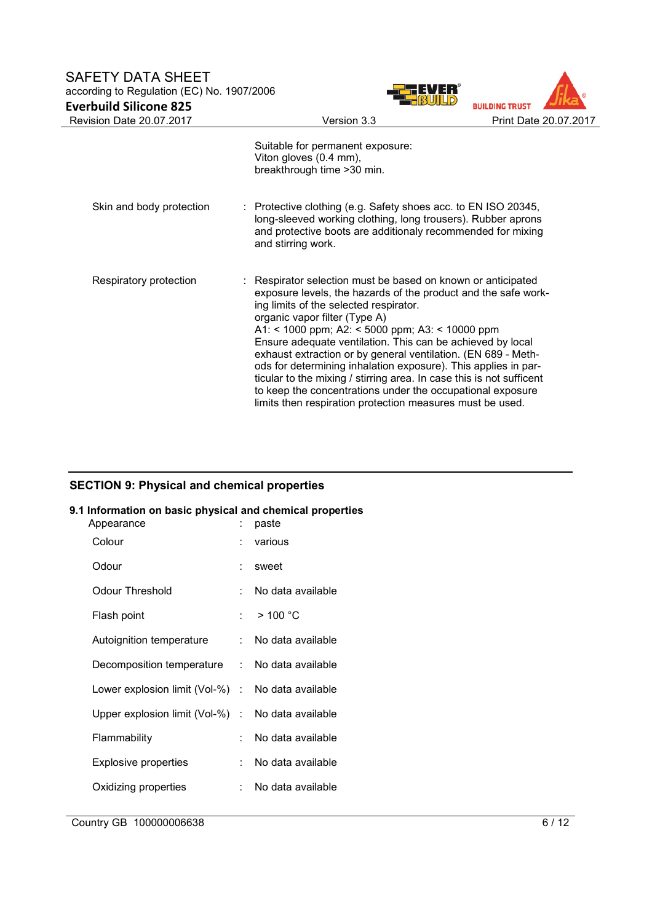# SAFETY DATA SHEET according to Regulation (EC) No. 1907/2006 **Everbuild Silicone 825**





|                          | <u>ununi u.u</u>                                                                                                                                                                                                                                                                                                                                                                                                                                                                                                                                                                                                                                                 | $\overline{\phantom{a}}$ |
|--------------------------|------------------------------------------------------------------------------------------------------------------------------------------------------------------------------------------------------------------------------------------------------------------------------------------------------------------------------------------------------------------------------------------------------------------------------------------------------------------------------------------------------------------------------------------------------------------------------------------------------------------------------------------------------------------|--------------------------|
|                          | Suitable for permanent exposure:<br>Viton gloves (0.4 mm),<br>breakthrough time > 30 min.                                                                                                                                                                                                                                                                                                                                                                                                                                                                                                                                                                        |                          |
| Skin and body protection | : Protective clothing (e.g. Safety shoes acc. to EN ISO 20345,<br>long-sleeved working clothing, long trousers). Rubber aprons<br>and protective boots are additionaly recommended for mixing<br>and stirring work.                                                                                                                                                                                                                                                                                                                                                                                                                                              |                          |
| Respiratory protection   | : Respirator selection must be based on known or anticipated<br>exposure levels, the hazards of the product and the safe work-<br>ing limits of the selected respirator.<br>organic vapor filter (Type A)<br>A1: < 1000 ppm; A2: < 5000 ppm; A3: < 10000 ppm<br>Ensure adequate ventilation. This can be achieved by local<br>exhaust extraction or by general ventilation. (EN 689 - Meth-<br>ods for determining inhalation exposure). This applies in par-<br>ticular to the mixing / stirring area. In case this is not sufficent<br>to keep the concentrations under the occupational exposure<br>limits then respiration protection measures must be used. |                          |

# **SECTION 9: Physical and chemical properties**

# **9.1 Information on basic physical and chemical properties**

| Appearance                                        |      | paste             |
|---------------------------------------------------|------|-------------------|
| Colour                                            |      | various           |
| Odour                                             |      | sweet             |
| Odour Threshold                                   |      | No data available |
| Flash point                                       | to a | $>$ 100 °C        |
| Autoignition temperature                          | t.   | No data available |
| Decomposition temperature : No data available     |      |                   |
| Lower explosion limit (Vol-%) : No data available |      |                   |
| Upper explosion limit (Vol-%) $\; :$              |      | No data available |
| Flammability                                      |      | No data available |
| <b>Explosive properties</b>                       | t.   | No data available |
| Oxidizing properties                              |      | No data available |
|                                                   |      |                   |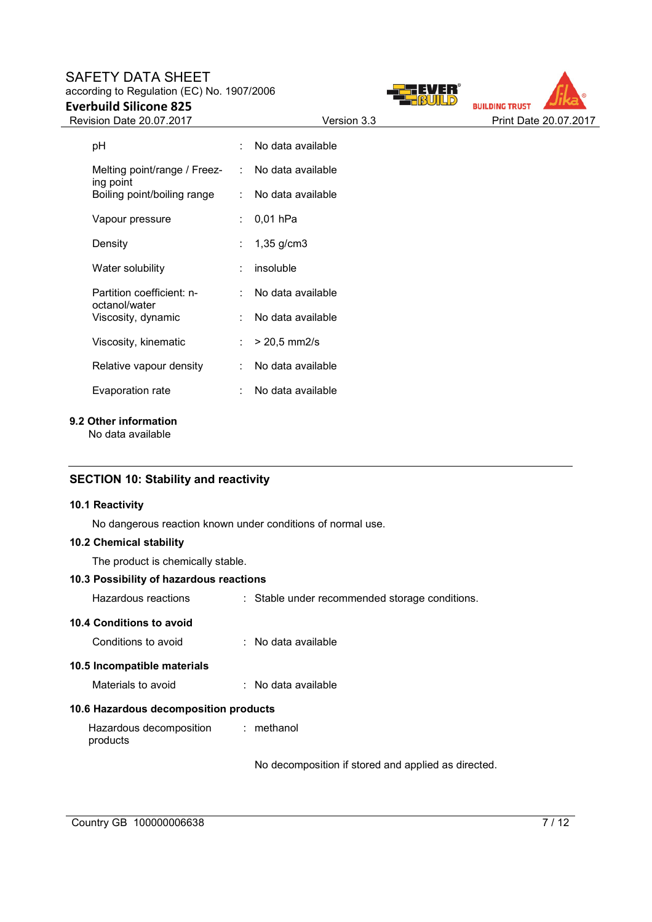# SAFETY DATA SHEET according to Regulation (EC) No. 1907/2006

**Everbuild Silicone 825** 





| рH                                         |   | : No data available    |
|--------------------------------------------|---|------------------------|
| Melting point/range / Freez-<br>ing point  |   | : No data available    |
| Boiling point/boiling range                |   | : No data available    |
| Vapour pressure                            | ÷ | $0,01$ hPa             |
| Density                                    |   | : $1,35 \text{ g/cm}3$ |
| Water solubility                           |   | insoluble              |
| Partition coefficient: n-<br>octanol/water |   | No data available      |
| Viscosity, dynamic                         |   | : No data available    |
| Viscosity, kinematic                       |   | $> 20.5$ mm2/s         |
| Relative vapour density                    |   | : No data available    |
| Evaporation rate                           |   | No data available      |

**9.2 Other information** 

No data available

# **SECTION 10: Stability and reactivity**

## **10.1 Reactivity**

No dangerous reaction known under conditions of normal use.

# **10.2 Chemical stability**

The product is chemically stable.

# **10.3 Possibility of hazardous reactions**

| Hazardous reactions                   | : Stable under recommended storage conditions.      |
|---------------------------------------|-----------------------------------------------------|
| 10.4 Conditions to avoid              |                                                     |
| Conditions to avoid                   | : No data available                                 |
| 10.5 Incompatible materials           |                                                     |
| Materials to avoid                    | : No data available                                 |
| 10.6 Hazardous decomposition products |                                                     |
| Hazardous decomposition<br>products   | : methanol                                          |
|                                       | No decomposition if stored and applied as directed. |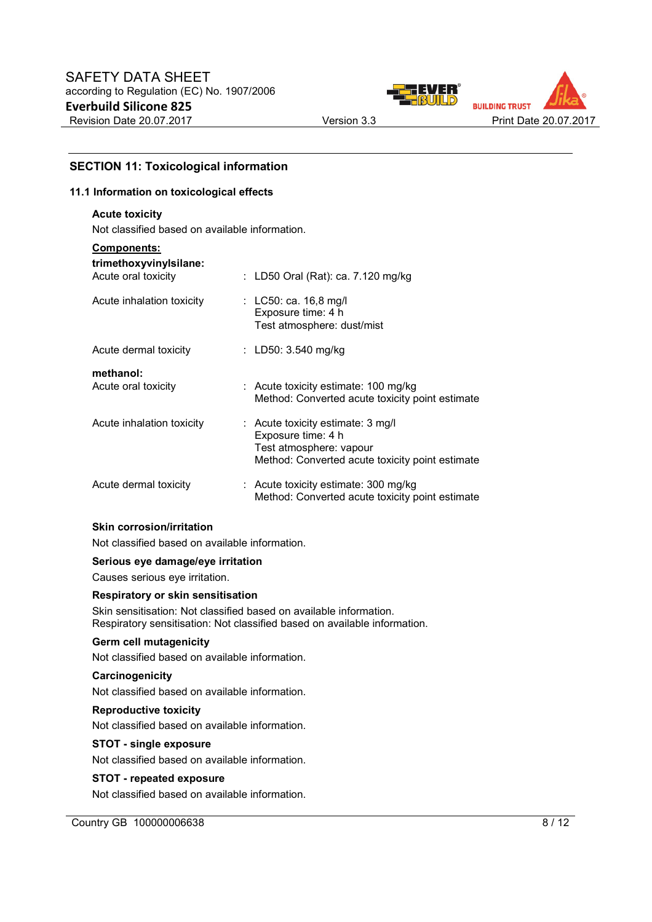



# **SECTION 11: Toxicological information**

#### **11.1 Information on toxicological effects**

#### **Acute toxicity**

Not classified based on available information.

| <b>Components:</b>                            |                                                                                                                                       |
|-----------------------------------------------|---------------------------------------------------------------------------------------------------------------------------------------|
| trimethoxyvinylsilane:<br>Acute oral toxicity | : LD50 Oral (Rat): ca. 7.120 mg/kg                                                                                                    |
| Acute inhalation toxicity                     | : LC50: ca. 16,8 mg/l<br>Exposure time: 4 h<br>Test atmosphere: dust/mist                                                             |
| Acute dermal toxicity                         | : LD50: $3.540$ mg/kg                                                                                                                 |
| methanol:<br>Acute oral toxicity              | : Acute toxicity estimate: 100 mg/kg<br>Method: Converted acute toxicity point estimate                                               |
| Acute inhalation toxicity                     | : Acute toxicity estimate: 3 mg/l<br>Exposure time: 4 h<br>Test atmosphere: vapour<br>Method: Converted acute toxicity point estimate |
| Acute dermal toxicity                         | $\therefore$ Acute toxicity estimate: 300 mg/kg<br>Method: Converted acute toxicity point estimate                                    |
| <b>Skin corrosion/irritation</b>              |                                                                                                                                       |

Not classified based on available information.

#### **Serious eye damage/eye irritation**

Causes serious eye irritation.

#### **Respiratory or skin sensitisation**

Skin sensitisation: Not classified based on available information. Respiratory sensitisation: Not classified based on available information.

#### **Germ cell mutagenicity**

Not classified based on available information.

#### **Carcinogenicity**

Not classified based on available information.

#### **Reproductive toxicity**

Not classified based on available information.

#### **STOT - single exposure**

Not classified based on available information.

#### **STOT - repeated exposure**

Not classified based on available information.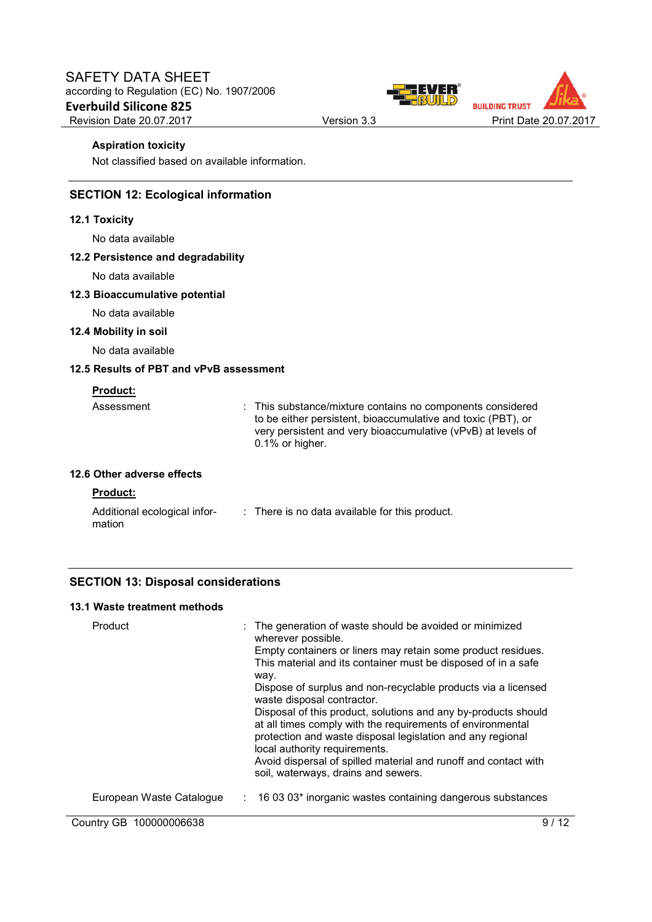



#### **Aspiration toxicity**

Not classified based on available information.

# **SECTION 12: Ecological information**

#### **12.1 Toxicity**

No data available

### **12.2 Persistence and degradability**

No data available

#### **12.3 Bioaccumulative potential**

No data available

#### **12.4 Mobility in soil**

No data available

## **12.5 Results of PBT and vPvB assessment**

# **Product:**

| Assessment                                    | : This substance/mixture contains no components considered<br>to be either persistent, bioaccumulative and toxic (PBT), or<br>very persistent and very bioaccumulative (vPvB) at levels of<br>$0.1\%$ or higher. |
|-----------------------------------------------|------------------------------------------------------------------------------------------------------------------------------------------------------------------------------------------------------------------|
| 12.6 Other adverse effects<br><b>Product:</b> |                                                                                                                                                                                                                  |
|                                               |                                                                                                                                                                                                                  |

| Additional ecological infor- | : There is no data available for this product. |
|------------------------------|------------------------------------------------|
| mation                       |                                                |

# **SECTION 13: Disposal considerations**

# **13.1 Waste treatment methods**

| Product                  | : The generation of waste should be avoided or minimized<br>wherever possible.<br>Empty containers or liners may retain some product residues.<br>This material and its container must be disposed of in a safe<br>way.<br>Dispose of surplus and non-recyclable products via a licensed<br>waste disposal contractor.<br>Disposal of this product, solutions and any by-products should<br>at all times comply with the requirements of environmental<br>protection and waste disposal legislation and any regional<br>local authority requirements. |
|--------------------------|-------------------------------------------------------------------------------------------------------------------------------------------------------------------------------------------------------------------------------------------------------------------------------------------------------------------------------------------------------------------------------------------------------------------------------------------------------------------------------------------------------------------------------------------------------|
|                          | Avoid dispersal of spilled material and runoff and contact with<br>soil, waterways, drains and sewers.                                                                                                                                                                                                                                                                                                                                                                                                                                                |
| European Waste Catalogue | 16 03 03* inorganic wastes containing dangerous substances<br>÷.                                                                                                                                                                                                                                                                                                                                                                                                                                                                                      |

Country GB 100000006638 9 / 12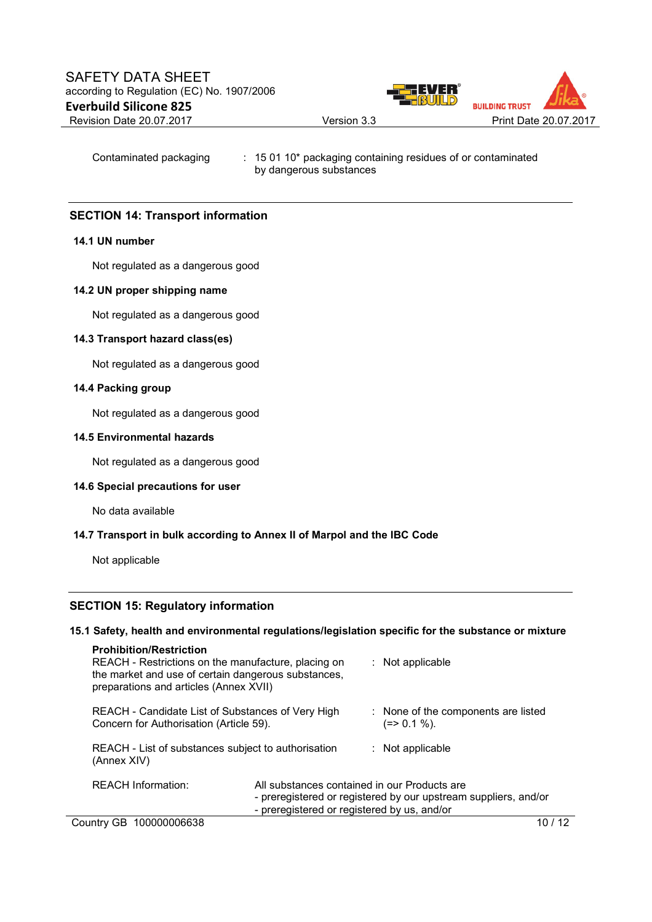

Contaminated packaging : 15 01 10\* packaging containing residues of or contaminated by dangerous substances

# **SECTION 14: Transport information**

### **14.1 UN number**

Not regulated as a dangerous good

### **14.2 UN proper shipping name**

Not regulated as a dangerous good

#### **14.3 Transport hazard class(es)**

Not regulated as a dangerous good

#### **14.4 Packing group**

Not regulated as a dangerous good

#### **14.5 Environmental hazards**

Not regulated as a dangerous good

## **14.6 Special precautions for user**

No data available

#### **14.7 Transport in bulk according to Annex II of Marpol and the IBC Code**

Not applicable

## **SECTION 15: Regulatory information**

# **15.1 Safety, health and environmental regulations/legislation specific for the substance or mixture**

| <b>Prohibition/Restriction</b><br>REACH - Restrictions on the manufacture, placing on<br>the market and use of certain dangerous substances,<br>preparations and articles (Annex XVII) |                                                                                             | $:$ Not applicable                                              |
|----------------------------------------------------------------------------------------------------------------------------------------------------------------------------------------|---------------------------------------------------------------------------------------------|-----------------------------------------------------------------|
| REACH - Candidate List of Substances of Very High<br>Concern for Authorisation (Article 59).                                                                                           |                                                                                             | : None of the components are listed<br>(=> 0.1 %).              |
| REACH - List of substances subject to authorisation<br>(Annex XIV)                                                                                                                     |                                                                                             | $:$ Not applicable                                              |
| <b>REACH Information:</b>                                                                                                                                                              | All substances contained in our Products are<br>- preregistered or registered by us, and/or | - preregistered or registered by our upstream suppliers, and/or |
| Country GB 100000006638                                                                                                                                                                |                                                                                             | 10 / 12                                                         |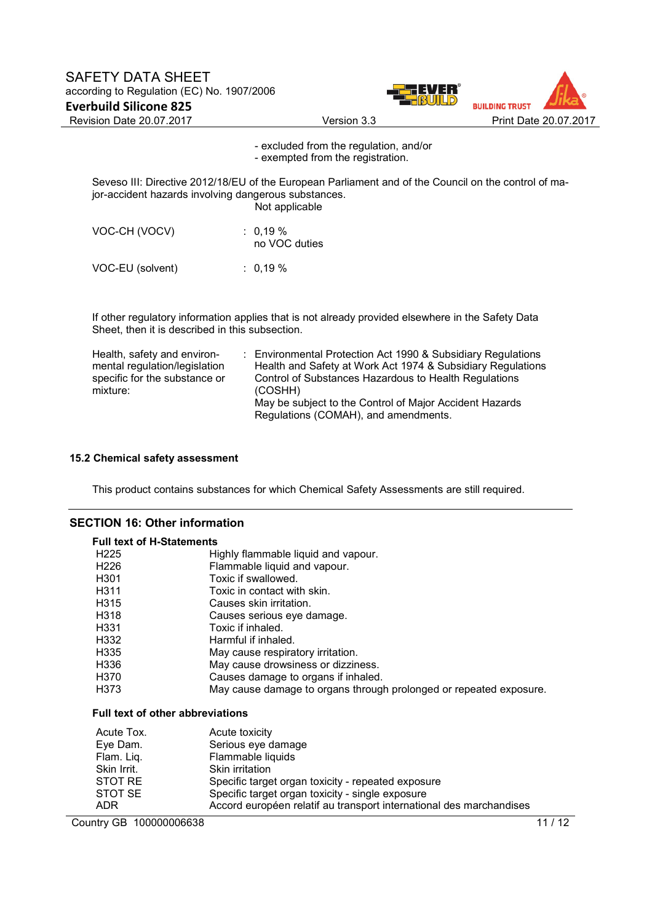



- excluded from the regulation, and/or - exempted from the registration.

Seveso III: Directive 2012/18/EU of the European Parliament and of the Council on the control of major-accident hazards involving dangerous substances.

Not applicable

| VOC-CH (VOCV) | $: 0.19 \%$<br>no VOC duties |
|---------------|------------------------------|
|               |                              |

VOC-EU (solvent) : 0,19 %

If other regulatory information applies that is not already provided elsewhere in the Safety Data Sheet, then it is described in this subsection.

| Health, safety and environ-<br>mental regulation/legislation<br>specific for the substance or | : Environmental Protection Act 1990 & Subsidiary Regulations<br>Health and Safety at Work Act 1974 & Subsidiary Regulations<br>Control of Substances Hazardous to Health Regulations |
|-----------------------------------------------------------------------------------------------|--------------------------------------------------------------------------------------------------------------------------------------------------------------------------------------|
| mixture:                                                                                      | (COSHH)                                                                                                                                                                              |
|                                                                                               | May be subject to the Control of Major Accident Hazards                                                                                                                              |
|                                                                                               | Regulations (COMAH), and amendments.                                                                                                                                                 |

#### **15.2 Chemical safety assessment**

This product contains substances for which Chemical Safety Assessments are still required.

# **SECTION 16: Other information**

| <b>Full text of H-Statements</b>        |                                                                    |
|-----------------------------------------|--------------------------------------------------------------------|
| H <sub>225</sub>                        | Highly flammable liquid and vapour.                                |
| H <sub>226</sub>                        | Flammable liquid and vapour.                                       |
| H <sub>301</sub>                        | Toxic if swallowed.                                                |
| H <sub>311</sub>                        | Toxic in contact with skin.                                        |
| H <sub>315</sub>                        | Causes skin irritation.                                            |
| H318                                    | Causes serious eye damage.                                         |
| H331                                    | Toxic if inhaled.                                                  |
| H332                                    | Harmful if inhaled.                                                |
| H <sub>335</sub>                        | May cause respiratory irritation.                                  |
| H336                                    | May cause drowsiness or dizziness.                                 |
| H370                                    | Causes damage to organs if inhaled.                                |
| H373                                    | May cause damage to organs through prolonged or repeated exposure. |
| <b>Full text of other abbreviations</b> |                                                                    |
| Acute Tox.                              | Acute toxicity                                                     |
| Eye Dam.                                | Serious eye damage                                                 |
| Flam. Liq.                              | Flammable liquids                                                  |
| Skin Irrit.                             | Skin irritation                                                    |
| STOT RE                                 | Specific target organ toxicity - repeated exposure                 |
| OTAT OF                                 | Coopitin tornat argan tovinity single eveneurs                     |

STOT SE Specific target organ toxicity - single exposure ADR Accord européen relatif au transport international des marchandises

Country GB 100000006638 11/12